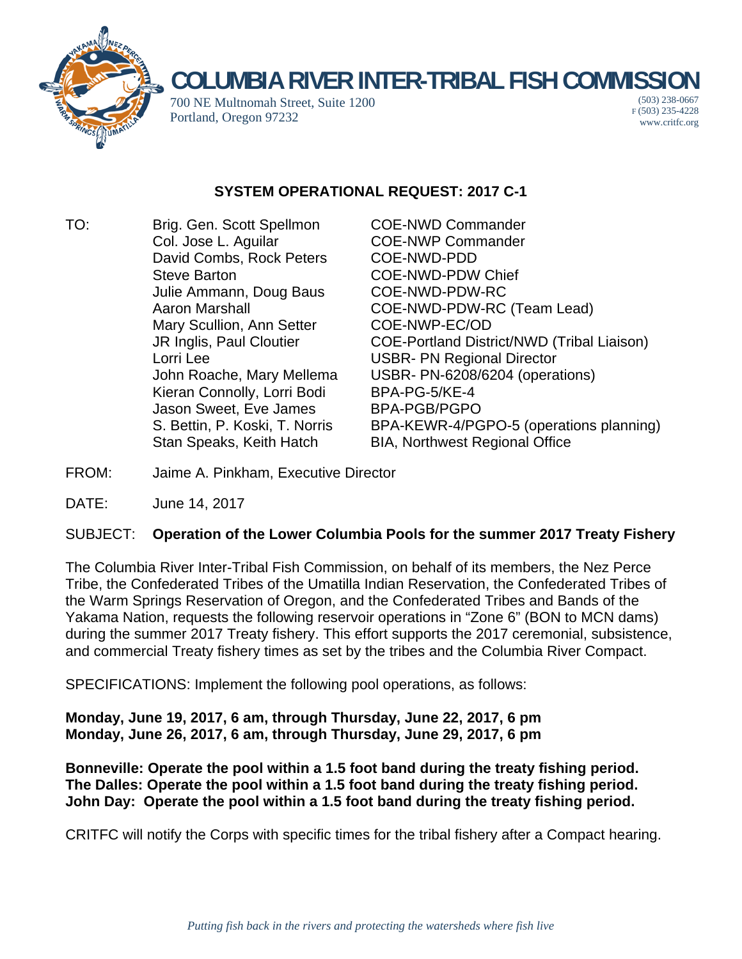

## **COLUMBIA RIVER INTER-TRIBAL FISH COMMISSION**

700 NE Multnomah Street, Suite 1200 Portland, Oregon 97232

(503) 238-0667 F (503) 235-4228 www.critfc.org

## **SYSTEM OPERATIONAL REQUEST: 2017 C-1**

TO: Brig. Gen. Scott Spellmon COE-NWD Commander Col. Jose L. Aguilar COE-NWP Commander David Combs, Rock Peters COE-NWD-PDD Steve Barton **COE-NWD-PDW Chief** Julie Ammann, Doug Baus COE-NWD-PDW-RC Mary Scullion, Ann Setter COE-NWP-EC/OD Lorri Lee USBR- PN Regional Director Kieran Connolly, Lorri Bodi BPA-PG-5/KE-4 Jason Sweet, Eve James BPA-PGB/PGPO Stan Speaks, Keith Hatch BIA, Northwest Regional Office

Aaron Marshall COE-NWD-PDW-RC (Team Lead) JR Inglis, Paul Cloutier COE-Portland District/NWD (Tribal Liaison) John Roache, Mary Mellema USBR- PN-6208/6204 (operations) S. Bettin, P. Koski, T. Norris BPA-KEWR-4/PGPO-5 (operations planning)

- FROM: Jaime A. Pinkham, Executive Director
- DATE: June 14, 2017

## SUBJECT: **Operation of the Lower Columbia Pools for the summer 2017 Treaty Fishery**

The Columbia River Inter-Tribal Fish Commission, on behalf of its members, the Nez Perce Tribe, the Confederated Tribes of the Umatilla Indian Reservation, the Confederated Tribes of the Warm Springs Reservation of Oregon, and the Confederated Tribes and Bands of the Yakama Nation, requests the following reservoir operations in "Zone 6" (BON to MCN dams) during the summer 2017 Treaty fishery. This effort supports the 2017 ceremonial, subsistence, and commercial Treaty fishery times as set by the tribes and the Columbia River Compact.

SPECIFICATIONS: Implement the following pool operations, as follows:

**Monday, June 19, 2017, 6 am, through Thursday, June 22, 2017, 6 pm Monday, June 26, 2017, 6 am, through Thursday, June 29, 2017, 6 pm** 

**Bonneville: Operate the pool within a 1.5 foot band during the treaty fishing period. The Dalles: Operate the pool within a 1.5 foot band during the treaty fishing period. John Day: Operate the pool within a 1.5 foot band during the treaty fishing period.**

CRITFC will notify the Corps with specific times for the tribal fishery after a Compact hearing.